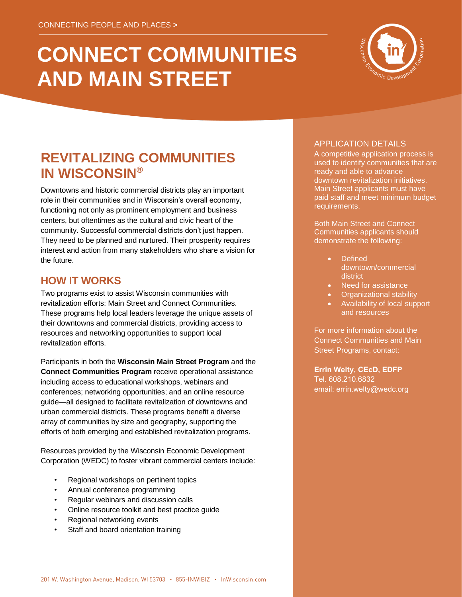# **CONNECT COMMUNITIES AND MAIN STREET**



# **REVITALIZING COMMUNITIES IN WISCONSIN®**

Downtowns and historic commercial districts play an important role in their communities and in Wisconsin's overall economy, functioning not only as prominent employment and business centers, but oftentimes as the cultural and civic heart of the community. Successful commercial districts don't just happen. They need to be planned and nurtured. Their prosperity requires interest and action from many stakeholders who share a vision for the future.

# **HOW IT WORKS**

Two programs exist to assist Wisconsin communities with revitalization efforts: Main Street and Connect Communities. These programs help local leaders leverage the unique assets of their downtowns and commercial districts, providing access to resources and networking opportunities to support local revitalization efforts.

Participants in both the **Wisconsin Main Street Program** and the **Connect Communities Program** receive operational assistance including access to educational workshops, webinars and conferences; networking opportunities; and an online resource guide—all designed to facilitate revitalization of downtowns and urban commercial districts. These programs benefit a diverse array of communities by size and geography, supporting the efforts of both emerging and established revitalization programs.

Resources provided by the Wisconsin Economic Development Corporation (WEDC) to foster vibrant commercial centers include:

- Regional workshops on pertinent topics
- Annual conference programming
- Regular webinars and discussion calls
- Online resource toolkit and best practice guide
- Regional networking events
- Staff and board orientation training

#### APPLICATION DETAILS

A competitive application process is used to identify communities that are ready and able to advance downtown revitalization initiatives. Main Street applicants must have paid staff and meet minimum budget requirements.

Both Main Street and Connect Communities applicants should demonstrate the following:

- **Defined** downtown/commercial district
- Need for assistance
- Organizational stability
- Availability of local support and resources

For more information about the Connect Communities and Main Street Programs, contact:

**Errin Welty, CEcD, EDFP** Tel. 608.210.6832 email: errin.welty@wedc.org